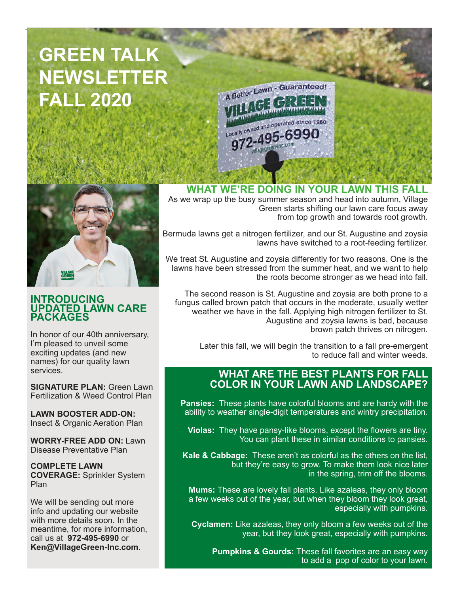# **GREEN TALK NEWSLETTER FALL 2020**





#### **INTRODUCING UPDATED LAWN CARE PACKAGES**

In honor of our 40th anniversary, I'm pleased to unveil some exciting updates (and new names) for our quality lawn services.

**SIGNATURE PLAN:** Green Lawn Fertilization & Weed Control Plan

**LAWN BOOSTER ADD-ON:**  Insect & Organic Aeration Plan

**WORRY-FREE ADD ON:** Lawn Disease Preventative Plan

**COMPLETE LAWN COVERAGE:** Sprinkler System Plan

We will be sending out more info and updating our website with more details soon. In the meantime, for more information, call us at **972-495-6990** or **Ken@VillageGreen-Inc.com**.

**WHAT WE'RE DOING IN YOUR LAWN THIS FALL**

As we wrap up the busy summer season and head into autumn, Village Green starts shifting our lawn care focus away from top growth and towards root growth.

Bermuda lawns get a nitrogen fertilizer, and our St. Augustine and zoysia lawns have switched to a root-feeding fertilizer.

We treat St. Augustine and zoysia differently for two reasons. One is the lawns have been stressed from the summer heat, and we want to help the roots become stronger as we head into fall.

The second reason is St. Augustine and zoysia are both prone to a fungus called brown patch that occurs in the moderate, usually wetter weather we have in the fall. Applying high nitrogen fertilizer to St. Augustine and zoysia lawns is bad, because brown patch thrives on nitrogen.

Later this fall, we will begin the transition to a fall pre-emergent to reduce fall and winter weeds.

## **WHAT ARE THE BEST PLANTS FOR FALL COLOR IN YOUR LAWN AND LANDSCAPE?**

**Pansies:** These plants have colorful blooms and are hardy with the ability to weather single-digit temperatures and wintry precipitation.

**Violas:** They have pansy-like blooms, except the flowers are tiny. You can plant these in similar conditions to pansies.

**Kale & Cabbage:** These aren't as colorful as the others on the list, but they're easy to grow. To make them look nice later in the spring, trim off the blooms.

**Mums:** These are lovely fall plants. Like azaleas, they only bloom a few weeks out of the year, but when they bloom they look great, especially with pumpkins.

**Cyclamen:** Like azaleas, they only bloom a few weeks out of the year, but they look great, especially with pumpkins.

**Pumpkins & Gourds:** These fall favorites are an easy way to add a pop of color to your lawn.